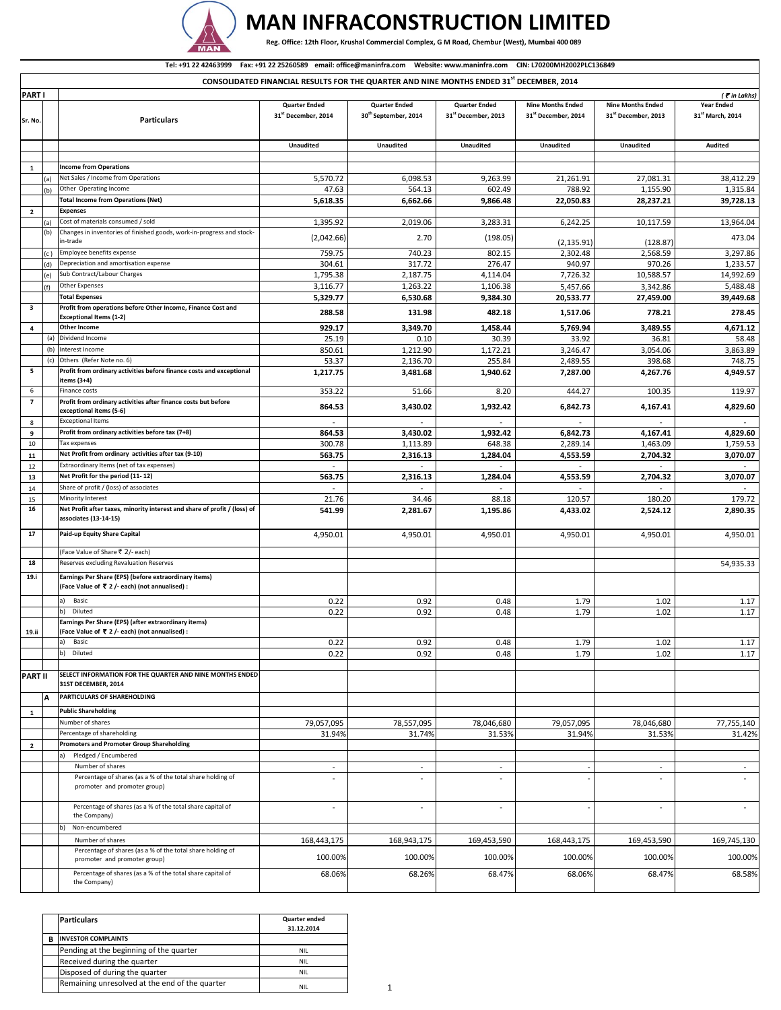

## **MAN INFRACONSTRUCTION LIMITED**

Reg. Office: 12th Floor, Krushal Commercial Complex, G M Road, Chembur (West), Mumbai 400 089

## **PART I Sr. No. Particulars Quarter Ended 31st December, 2014 Quarter Ended 30th September, 2014 Quarter Ended 31st December, 2013 Nine Months Ended 31st December, 2014 Nine Months Ended 31st December, 2013 Year Ended 31st March, 2014 Unaudited Unaudited Unaudited Unaudited Unaudited Audited 1 Income from Operations** (a) Net Sales / Income from Operations (a) Net Sales / Income from Operations (b) 0ther Operating Income<br>
(b) 0ther Operating Income (b) 0ther Operating Income (b) 0ther Operating Income (b) 0ther Operating Income (b) 0the (b) Other Operating Income 47.63 564.13 602.49 788.92 1,155.90 1,315.84 **Total Income from Operations (Net) 5,618.35 6,662.66 9,866.48 22,050.83 28,237.21 39,728.13** (a) Cost of materials consumed / sold 1,395.92 2,019.06 3,283.31 6,242.25 10,117.59 13,964.04 (b) Changes in inventories of finished goods, work‐in‐progress and stock‐ in‐trade (2,042.66) 2.70 (198.05) (2,135.91) (128.87) 473.04 (c) Employee benefits expense 7.3,297.86 759.75 759.75 740.23 740.23 802.15 2,302.48 2,568.59 3,297.86 (d) Depreciation and amortisation expense 304.61 317.72 276.47 940.97 970.26 1,233.57 (e) Sub Contract/Labour Charges 1,795.38 | 2,187.75 | 4,114.04 | 7,726.32 | 10,588.57 | 14,992.69 (f)  $\lvert \text{Other Express} \rvert \qquad \qquad \text{3,342.86 } \rvert \qquad \qquad \text{3,488.48 }$ **Total Expenses 5,329.77 6,530.68 9,384.30 20,533.77 27,459.00 39,449.68 Exceptional Items (1‐2) 288.58 131.98 482.18 1,517.06 778.21 278.45** (a) Dividend Income 25.48 25.19 33.92 33.92 36.81 36.81 36.848 (b) Interest Income 850.61 1,212.90 1,172.21 3,246.47 3,054.06 3,863.89 (c) Others (Refer Note no. 6) 53.37 2,136.70 255.84 2,489.55 398.68 748.75 **items (3+4) 1,217.75 3,481.68 1,940.62 7,287.00 4,267.76 4,949.57** *(* ` *in Lakhs)* **CONSOLIDATED FINANCIAL RESULTS FOR THE QUARTER AND NINE MONTHS ENDED 31st DECEMBER, 2014** Tel: +91 22 42463999 Fax: +91 22 25260589 email: office@maninfra.com Website: www.maninfra.com CIN: L70200MH2002PLC136849

| $\overline{2}$          |     | Expenses                                                                                                |                |                |                |             |             |             |
|-------------------------|-----|---------------------------------------------------------------------------------------------------------|----------------|----------------|----------------|-------------|-------------|-------------|
|                         |     | Cost of materials consumed / sold                                                                       | 1,395.92       | 2,019.06       | 3,283.31       | 6,242.25    | 10,117.59   | 13,964.04   |
|                         | (b) | Changes in inventories of finished goods, work-in-progress and stock-                                   | (2,042.66)     | 2.70           | (198.05)       |             |             | 473.04      |
|                         |     | in-trade                                                                                                |                |                |                | (2, 135.91) | (128.87)    |             |
|                         |     | Employee benefits expense                                                                               | 759.75         | 740.23         | 802.15         | 2,302.48    | 2,568.59    | 3,297.86    |
|                         | (d  | Depreciation and amortisation expense                                                                   | 304.61         | 317.72         | 276.47         | 940.97      | 970.26      | 1,233.57    |
|                         | (e) | Sub Contract/Labour Charges                                                                             | 1,795.38       | 2,187.75       | 4,114.04       | 7,726.32    | 10,588.57   | 14,992.69   |
|                         | (f) | Other Expenses                                                                                          | 3,116.77       | 1,263.22       | 1,106.38       | 5,457.66    | 3,342.86    | 5,488.48    |
| 3                       |     | <b>Total Expenses</b>                                                                                   | 5,329.77       | 6,530.68       | 9,384.30       | 20,533.77   | 27,459.00   | 39,449.68   |
|                         |     | Profit from operations before Other Income, Finance Cost and<br><b>Exceptional Items (1-2)</b>          | 288.58         | 131.98         | 482.18         | 1,517.06    | 778.21      | 278.45      |
| 4                       |     | <b>Other Income</b>                                                                                     | 929.17         | 3,349.70       | 1,458.44       | 5,769.94    | 3,489.55    | 4,671.12    |
|                         | (a) | Dividend Income                                                                                         | 25.19          | 0.10           | 30.39          | 33.92       | 36.81       | 58.48       |
|                         | (b) | Interest Income<br>Others (Refer Note no. 6)                                                            | 850.61         | 1,212.90       | 1,172.21       | 3,246.47    | 3,054.06    | 3,863.89    |
| 5                       | (c) | Profit from ordinary activities before finance costs and exceptional                                    | 53.37          | 2,136.70       | 255.84         | 2,489.55    | 398.68      | 748.75      |
|                         |     | items (3+4)                                                                                             | 1,217.75       | 3,481.68       | 1,940.62       | 7,287.00    | 4,267.76    | 4,949.57    |
| 6                       |     | Finance costs                                                                                           | 353.22         | 51.66          | 8.20           | 444.27      | 100.35      | 119.97      |
| $\overline{\mathbf{z}}$ |     | Profit from ordinary activities after finance costs but before<br>exceptional items (5-6)               | 864.53         | 3,430.02       | 1,932.42       | 6,842.73    | 4,167.41    | 4,829.60    |
| 8                       |     | <b>Exceptional Items</b>                                                                                | $\sim$         |                |                |             |             |             |
| 9                       |     | Profit from ordinary activities before tax (7+8)                                                        | 864.53         | 3,430.02       | 1,932.42       | 6,842.73    | 4,167.41    | 4,829.60    |
| 10                      |     | Tax expenses                                                                                            | 300.78         | 1,113.89       | 648.38         | 2,289.14    | 1,463.09    | 1,759.53    |
| 11                      |     | Net Profit from ordinary activities after tax (9-10)                                                    | 563.75         | 2,316.13       | 1,284.04       | 4,553.59    | 2,704.32    | 3,070.07    |
| 12                      |     | Extraordinary Items (net of tax expenses)                                                               |                | $\sim$         |                |             |             |             |
| 13                      |     | Net Profit for the period (11-12)                                                                       | 563.75         | 2,316.13       | 1,284.04       | 4,553.59    | 2,704.32    | 3,070.07    |
| 14                      |     | Share of profit / (loss) of associates                                                                  | $\sim$         | $\blacksquare$ |                |             |             |             |
| 15                      |     | Minority Interest                                                                                       | 21.76          | 34.46          | 88.18          | 120.57      | 180.20      | 179.72      |
| 16                      |     | Net Profit after taxes, minority interest and share of profit / (loss) of<br>associates (13-14-15)      | 541.99         | 2,281.67       | 1,195.86       | 4,433.02    | 2,524.12    | 2,890.35    |
| 17                      |     | Paid-up Equity Share Capital                                                                            | 4,950.01       | 4,950.01       | 4,950.01       | 4,950.01    | 4,950.01    | 4,950.01    |
|                         |     | (Face Value of Share ₹ 2/- each)                                                                        |                |                |                |             |             |             |
| 18                      |     | Reserves excluding Revaluation Reserves                                                                 |                |                |                |             |             | 54,935.33   |
| 19.i                    |     | Earnings Per Share (EPS) (before extraordinary items)<br>(Face Value of ₹ 2 /- each) (not annualised) : |                |                |                |             |             |             |
|                         |     | a)<br>Basic                                                                                             | 0.22           | 0.92           | 0.48           | 1.79        | 1.02        | 1.17        |
|                         |     | b)<br>Diluted                                                                                           | 0.22           | 0.92           | 0.48           | 1.79        | 1.02        | 1.17        |
|                         |     | Earnings Per Share (EPS) (after extraordinary items)                                                    |                |                |                |             |             |             |
| 19.ii                   |     | (Face Value of ₹ 2 /- each) (not annualised) :                                                          |                |                |                |             |             |             |
|                         |     | Basic<br>a)                                                                                             | 0.22           | 0.92           | 0.48           | 1.79        | 1.02        | 1.17        |
|                         |     | Diluted<br>b)                                                                                           | 0.22           | 0.92           | 0.48           | 1.79        | 1.02        | 1.17        |
| <b>PART II</b>          |     | SELECT INFORMATION FOR THE QUARTER AND NINE MONTHS ENDED                                                |                |                |                |             |             |             |
|                         |     | 31ST DECEMBER, 2014                                                                                     |                |                |                |             |             |             |
|                         | A   | PARTICULARS OF SHAREHOLDING                                                                             |                |                |                |             |             |             |
| $\mathbf{1}$            |     | <b>Public Shareholding</b>                                                                              |                |                |                |             |             |             |
|                         |     | Number of shares                                                                                        | 79,057,095     | 78,557,095     | 78,046,680     | 79,057,095  | 78,046,680  | 77,755,140  |
|                         |     | Percentage of shareholding                                                                              | 31.94%         | 31.74%         | 31.53%         | 31.94%      | 31.53%      | 31.42%      |
| $\overline{2}$          |     | <b>Promoters and Promoter Group Shareholding</b>                                                        |                |                |                |             |             |             |
|                         |     | Pledged / Encumbered                                                                                    |                |                |                |             |             |             |
|                         |     | Number of shares                                                                                        | $\blacksquare$ | $\blacksquare$ | $\blacksquare$ |             | $\sim$      | $\sim$      |
|                         |     | Percentage of shares (as a % of the total share holding of<br>promoter and promoter group)              |                |                |                |             |             |             |
|                         |     | Percentage of shares (as a % of the total share capital of<br>the Company)                              | L,             |                | $\sim$         |             |             | $\sim$      |
|                         |     | b)<br>Non-encumbered                                                                                    |                |                |                |             |             |             |
|                         |     | Number of shares                                                                                        | 168,443,175    | 168,943,175    | 169,453,590    | 168,443,175 | 169,453,590 | 169,745,130 |
|                         |     | Percentage of shares (as a % of the total share holding of                                              |                |                |                |             |             |             |
|                         |     | promoter and promoter group)<br>Percentage of shares (as a % of the total share capital of              | 100.00%        | 100.00%        | 100.00%        | 100.00%     | 100.00%     | 100.00%     |
|                         |     | the Company)                                                                                            | 68.06%         | 68.26%         | 68.47%         | 68.06%      | 68.47%      | 68.58%      |
|                         |     |                                                                                                         |                |                |                |             |             |             |

|   | <b>Particulars</b>                             | <b>Quarter ended</b><br>31.12.2014 |  |
|---|------------------------------------------------|------------------------------------|--|
| в | <b>INVESTOR COMPLAINTS</b>                     |                                    |  |
|   | Pending at the beginning of the quarter        | NIL.                               |  |
|   | Received during the quarter                    | NIL.                               |  |
|   | Disposed of during the quarter                 | NII.                               |  |
|   | Remaining unresolved at the end of the quarter | NII.                               |  |